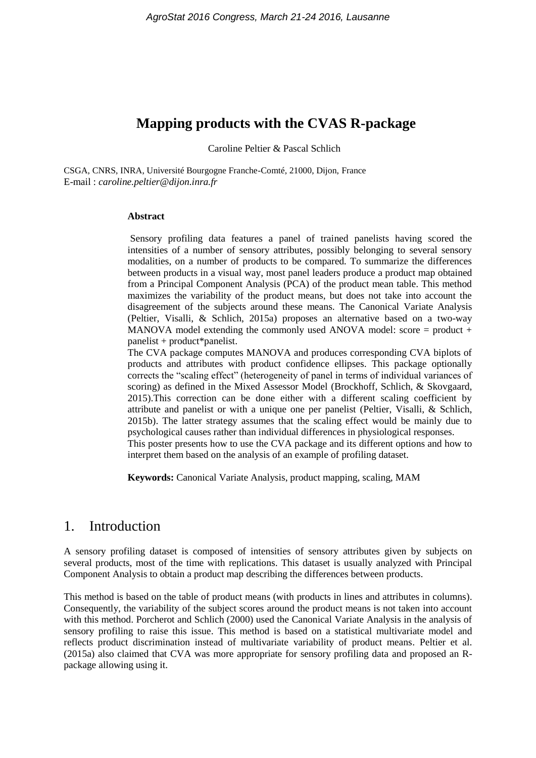# **Mapping products with the CVAS R-package**

Caroline Peltier & Pascal Schlich

CSGA, CNRS, INRA, Université Bourgogne Franche-Comté, 21000, Dijon, France E-mail : *caroline.peltier@dijon.inra.fr*

#### **Abstract**

Sensory profiling data features a panel of trained panelists having scored the intensities of a number of sensory attributes, possibly belonging to several sensory modalities, on a number of products to be compared. To summarize the differences between products in a visual way, most panel leaders produce a product map obtained from a Principal Component Analysis (PCA) of the product mean table. This method maximizes the variability of the product means, but does not take into account the disagreement of the subjects around these means. The Canonical Variate Analysis [\(Peltier, Visalli, & Schlich, 2015a\)](#page-3-0) proposes an alternative based on a two-way MANOVA model extending the commonly used ANOVA model: score = product + panelist + product\*panelist.

The CVA package computes MANOVA and produces corresponding CVA biplots of products and attributes with product confidence ellipses. This package optionally corrects the "scaling effect" (heterogeneity of panel in terms of individual variances of scoring) as defined in the Mixed Assessor Model [\(Brockhoff, Schlich, & Skovgaard,](#page-3-1)  [2015\)](#page-3-1).This correction can be done either with a different scaling coefficient by attribute and panelist or with a unique one per panelist [\(Peltier, Visalli, & Schlich,](#page-3-2)  [2015b\)](#page-3-2). The latter strategy assumes that the scaling effect would be mainly due to psychological causes rather than individual differences in physiological responses. This poster presents how to use the CVA package and its different options and how to interpret them based on the analysis of an example of profiling dataset.

**Keywords:** Canonical Variate Analysis, product mapping, scaling, MAM

## 1. Introduction

A sensory profiling dataset is composed of intensities of sensory attributes given by subjects on several products, most of the time with replications. This dataset is usually analyzed with Principal Component Analysis to obtain a product map describing the differences between products.

This method is based on the table of product means (with products in lines and attributes in columns). Consequently, the variability of the subject scores around the product means is not taken into account with this method. [Porcherot and Schlich \(2000\)](#page-3-3) used the Canonical Variate Analysis in the analysis of sensory profiling to raise this issue. This method is based on a statistical multivariate model and reflects product discrimination instead of multivariate variability of product means. [Peltier et al.](#page-3-0)  [\(2015a\)](#page-3-0) also claimed that CVA was more appropriate for sensory profiling data and proposed an Rpackage allowing using it.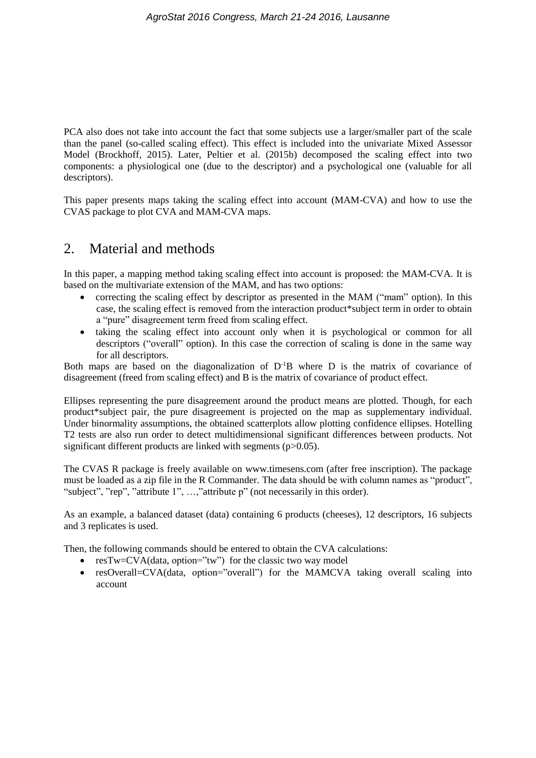PCA also does not take into account the fact that some subjects use a larger/smaller part of the scale than the panel (so-called scaling effect). This effect is included into the univariate Mixed Assessor Model (Brockhoff, 2015). Later, [Peltier et al. \(2015b\)](#page-3-2) decomposed the scaling effect into two components: a physiological one (due to the descriptor) and a psychological one (valuable for all descriptors).

This paper presents maps taking the scaling effect into account (MAM-CVA) and how to use the CVAS package to plot CVA and MAM-CVA maps.

### 2. Material and methods

In this paper, a mapping method taking scaling effect into account is proposed: the MAM-CVA. It is based on the multivariate extension of the MAM, and has two options:

- correcting the scaling effect by descriptor as presented in the MAM ("mam" option). In this case, the scaling effect is removed from the interaction product\*subject term in order to obtain a "pure" disagreement term freed from scaling effect.
- taking the scaling effect into account only when it is psychological or common for all descriptors ("overall" option). In this case the correction of scaling is done in the same way for all descriptors.

Both maps are based on the diagonalization of  $D^{-1}B$  where D is the matrix of covariance of disagreement (freed from scaling effect) and B is the matrix of covariance of product effect.

Ellipses representing the pure disagreement around the product means are plotted. Though, for each product\*subject pair, the pure disagreement is projected on the map as supplementary individual. Under binormality assumptions, the obtained scatterplots allow plotting confidence ellipses. Hotelling T2 tests are also run order to detect multidimensional significant differences between products. Not significant different products are linked with segments (p>0.05).

The CVAS R package is freely available on www.timesens.com (after free inscription). The package must be loaded as a zip file in the R Commander. The data should be with column names as "product", "subject", "rep", "attribute 1", …,"attribute p" (not necessarily in this order).

As an example, a balanced dataset (data) containing 6 products (cheeses), 12 descriptors, 16 subjects and 3 replicates is used.

Then, the following commands should be entered to obtain the CVA calculations:

- resTw=CVA(data, option="tw") for the classic two way model
- resOverall=CVA(data, option="overall") for the MAMCVA taking overall scaling into account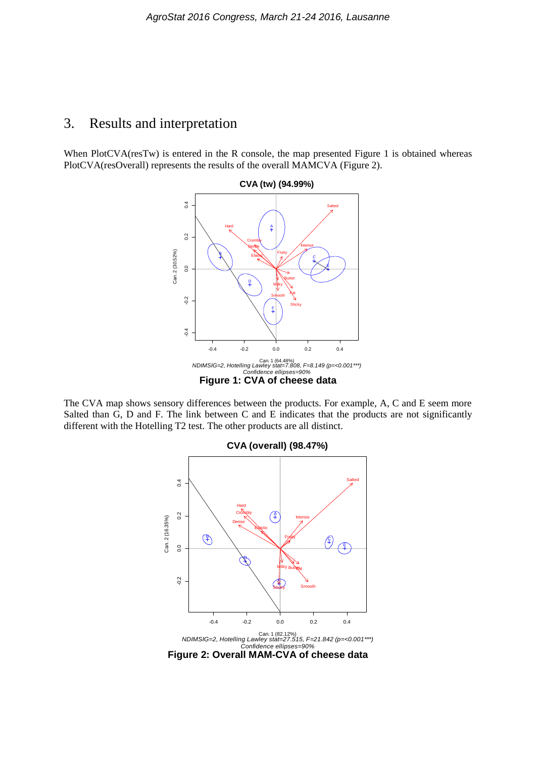#### 3. Results and interpretation

When PlotCVA(resTw) is entered in the R console, the map presented Figure 1 is obtained whereas PlotCVA(resOverall) represents the results of the overall MAMCVA (Figure 2).



The CVA map shows sensory differences between the products. For example, A, C and E seem more Salted than G, D and F. The link between C and E indicates that the products are not significantly different with the Hotelling T2 test. The other products are all distinct.